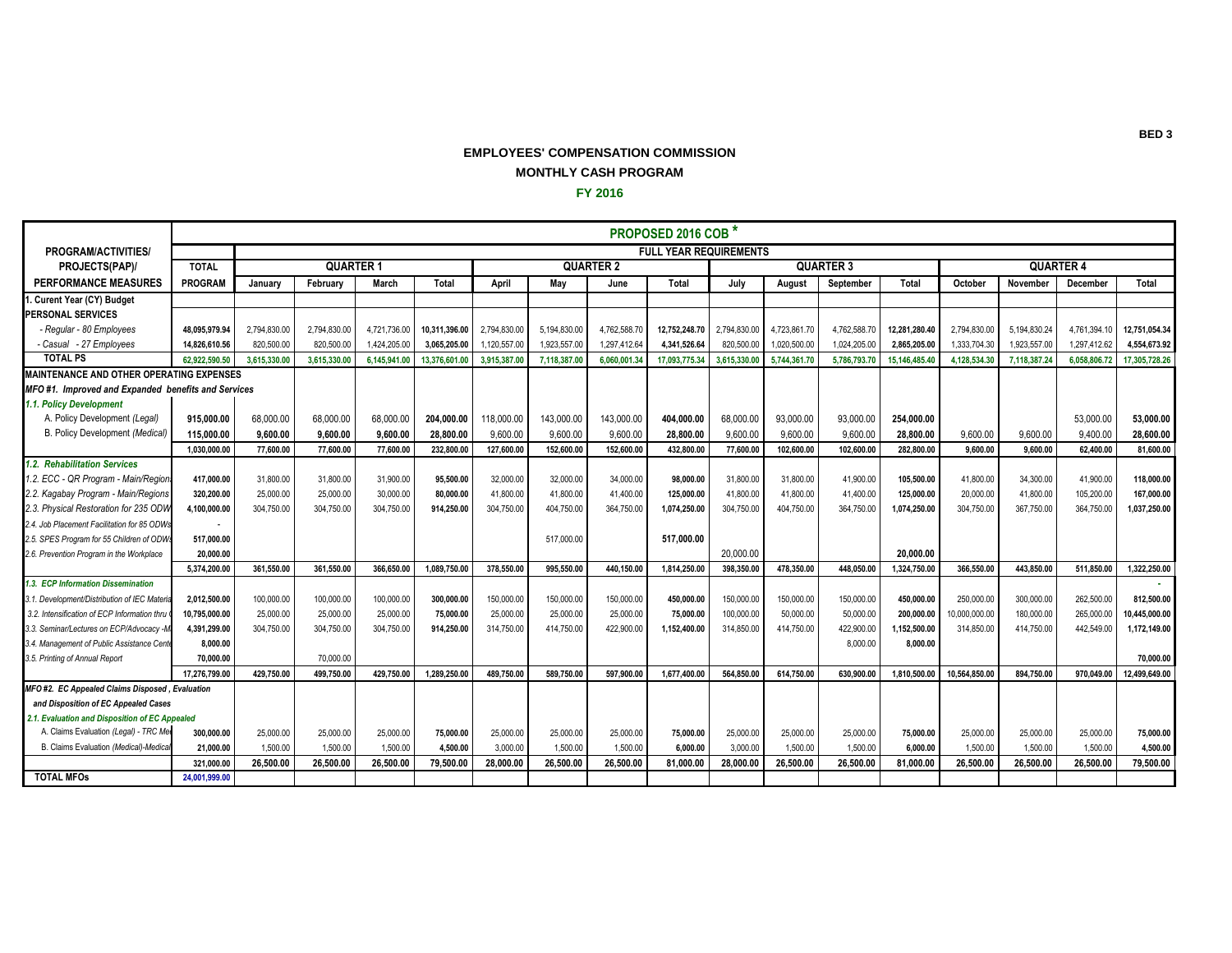## **EMPLOYEES' COMPENSATION COMMISSION MONTHLY CASH PROGRAM**

**FY 2016**

|                                                    | PROPOSED 2016 COB <sup>*</sup> |              |              |                  |               |              |              |                  |                               |              |              |                  |               |               |              |                  |               |  |  |
|----------------------------------------------------|--------------------------------|--------------|--------------|------------------|---------------|--------------|--------------|------------------|-------------------------------|--------------|--------------|------------------|---------------|---------------|--------------|------------------|---------------|--|--|
| PROGRAM/ACTIVITIES/                                |                                |              |              |                  |               |              |              |                  | <b>FULL YEAR REQUIREMENTS</b> |              |              |                  |               |               |              |                  |               |  |  |
| PROJECTS(PAP)/                                     | <b>TOTAL</b>                   |              |              | <b>QUARTER 1</b> |               |              |              | <b>QUARTER 2</b> |                               |              |              | <b>QUARTER 3</b> |               |               |              | <b>QUARTER 4</b> |               |  |  |
| <b>PERFORMANCE MEASURES</b>                        | PROGRAM                        | Januarv      | February     | March            | Total         | April        | Mav          | June             | Total                         | July         | August       | September        | Total         | October       | November     | December         | Total         |  |  |
| . Curent Year (CY) Budget                          |                                |              |              |                  |               |              |              |                  |                               |              |              |                  |               |               |              |                  |               |  |  |
| <b>PERSONAL SERVICES</b>                           |                                |              |              |                  |               |              |              |                  |                               |              |              |                  |               |               |              |                  |               |  |  |
| - Regular - 80 Employees                           | 48.095.979.94                  | 2.794.830.00 | 2,794,830.00 | 4.721.736.00     | 10.311.396.00 | 2.794.830.00 | 5,194,830.00 | 4,762,588.70     | 12.752.248.70                 | 2,794,830.00 | 4,723,861.70 | 4.762.588.70     | 12.281.280.40 | 2.794.830.00  | 5.194.830.24 | 4.761.394.10     | 12.751.054.34 |  |  |
| - Casual - 27 Employees                            | 14.826.610.56                  | 820,500.00   | 820,500.00   | 1,424,205.00     | 3,065,205.00  | 1.120.557.00 | 1,923,557.00 | 1,297,412.64     | 4.341.526.64                  | 820,500.00   | 1,020,500.00 | 1,024,205.00     | 2.865.205.00  | 1,333,704.30  | 1,923,557.00 | 1.297.412.62     | 4,554,673.92  |  |  |
| <b>TOTAL PS</b>                                    | 62.922.590.50                  | 3.615.330.00 | 3.615.330.00 | 6.145.941.00     | 13,376,601.00 | 3,915,387.00 | 7,118,387.00 | 6.060.001.34     | 17.093.775.34                 | 3,615,330.00 | 5,744,361.70 | 5,786,793.70     | 15,146,485.40 | 4.128.534.30  | 7,118,387.24 | 6.058.806.72     | 17,305,728.26 |  |  |
| <b>MAINTENANCE AND OTHER OPERATING EXPENSES</b>    |                                |              |              |                  |               |              |              |                  |                               |              |              |                  |               |               |              |                  |               |  |  |
| MFO#1. Improved and Expanded benefits and Services |                                |              |              |                  |               |              |              |                  |                               |              |              |                  |               |               |              |                  |               |  |  |
| 1.1. Policy Development                            |                                |              |              |                  |               |              |              |                  |                               |              |              |                  |               |               |              |                  |               |  |  |
| A. Policy Development (Legal)                      | 915.000.00                     | 68,000.00    | 68,000.00    | 68,000.00        | 204,000.00    | 118,000.00   | 143,000.00   | 143,000.00       | 404,000.00                    | 68,000.00    | 93,000.00    | 93,000.00        | 254,000.00    |               |              | 53.000.00        | 53,000.00     |  |  |
| B. Policy Development (Medical)                    | 115,000.00                     | 9.600.00     | 9.600.00     | 9,600.00         | 28,800.00     | 9,600.00     | 9,600.00     | 9,600.00         | 28.800.00                     | 9,600.00     | 9,600.00     | 9,600.00         | 28,800.00     | 9,600.00      | 9,600.00     | 9.400.00         | 28,600.00     |  |  |
|                                                    | 1,030,000.00                   | 77,600.00    | 77,600.00    | 77,600.00        | 232,800.00    | 127.600.00   | 152,600.00   | 152.600.00       | 432,800.00                    | 77,600.00    | 102,600.00   | 102,600.00       | 282,800.00    | 9.600.00      | 9.600.00     | 62,400.00        | 81,600.00     |  |  |
| 1.2. Rehabilitation Services                       |                                |              |              |                  |               |              |              |                  |                               |              |              |                  |               |               |              |                  |               |  |  |
| 1.2. ECC - QR Program - Main/Regior                | 417,000.00                     | 31,800.00    | 31,800.00    | 31,900.00        | 95.500.00     | 32.000.00    | 32,000.00    | 34,000.00        | 98.000.00                     | 31,800.00    | 31,800.00    | 41,900.00        | 105,500.00    | 41,800.00     | 34,300.00    | 41,900.00        | 118,000.00    |  |  |
| 2.2. Kagabay Program - Main/Regions                | 320,200.00                     | 25,000.00    | 25,000.00    | 30,000.00        | 80,000.00     | 41,800.00    | 41,800.00    | 41,400.00        | 125,000.00                    | 41,800.00    | 41,800.00    | 41,400.00        | 125,000.00    | 20,000.00     | 41,800.00    | 105,200.00       | 167,000.00    |  |  |
| 2.3. Physical Restoration for 235 ODV              | 4,100,000.00                   | 304,750.00   | 304,750.00   | 304,750.00       | 914,250.00    | 304,750.00   | 404,750.00   | 364,750.00       | 1,074,250.00                  | 304,750.00   | 404,750.00   | 364,750.00       | 1,074,250.00  | 304,750.00    | 367,750.00   | 364,750.00       | 1,037,250.00  |  |  |
| 2.4. Job Placement Facilitation for 85 ODWs        |                                |              |              |                  |               |              |              |                  |                               |              |              |                  |               |               |              |                  |               |  |  |
| 2.5. SPES Program for 55 Children of ODW           | 517,000.00                     |              |              |                  |               |              | 517,000.00   |                  | 517,000.00                    |              |              |                  |               |               |              |                  |               |  |  |
| 2.6. Prevention Program in the Workplace           | 20.000.00                      |              |              |                  |               |              |              |                  |                               | 20,000.00    |              |                  | 20.000.00     |               |              |                  |               |  |  |
|                                                    | 5,374,200.00                   | 361.550.00   | 361,550.00   | 366.650.00       | 1,089,750.00  | 378.550.00   | 995.550.00   | 440.150.00       | 1,814,250.00                  | 398.350.00   | 478.350.00   | 448.050.00       | 1,324,750.00  | 366.550.00    | 443.850.00   | 511.850.00       | 1,322,250.00  |  |  |
| 1.3. ECP Information Dissemination                 |                                |              |              |                  |               |              |              |                  |                               |              |              |                  |               |               |              |                  |               |  |  |
| 3.1. Development/Distribution of IEC Materia       | 2.012.500.00                   | 100,000.00   | 100,000.00   | 100,000.00       | 300.000.00    | 150.000.00   | 150,000.00   | 150.000.00       | 450.000.00                    | 150,000.00   | 150,000.00   | 150,000.00       | 450.000.00    | 250,000.00    | 300,000.00   | 262,500.00       | 812,500.00    |  |  |
| 3.2. Intensification of ECP Information thru       | 10.795.000.00                  | 25,000.00    | 25,000.00    | 25,000.00        | 75.000.00     | 25,000.00    | 25,000.00    | 25,000.00        | 75.000.00                     | 100,000.00   | 50,000.00    | 50,000.00        | 200,000.00    | 10,000,000.00 | 180,000.00   | 265,000.00       | 10,445,000.00 |  |  |
| 3.3. Seminar/Lectures on ECP/Advocacy -M           | 4,391,299.00                   | 304,750.00   | 304,750.00   | 304,750.00       | 914,250.00    | 314,750.00   | 414,750.00   | 422,900.00       | 1,152,400.00                  | 314,850.00   | 414,750.00   | 422,900.00       | 1,152,500.00  | 314,850.00    | 414,750.00   | 442,549.00       | 1,172,149.00  |  |  |
| 3.4. Management of Public Assistance Cent          | 8.000.00                       |              |              |                  |               |              |              |                  |                               |              |              | 8,000.00         | 8,000.00      |               |              |                  |               |  |  |
| 3.5. Printing of Annual Report                     | 70.000.00                      |              | 70.000.00    |                  |               |              |              |                  |                               |              |              |                  |               |               |              |                  | 70.000.00     |  |  |
|                                                    | 17.276.799.00                  | 429,750.00   | 499,750.00   | 429,750.00       | 1.289.250.00  | 489.750.00   | 589,750.00   | 597.900.00       | 1,677,400.00                  | 564.850.00   | 614,750.00   | 630.900.00       | 1,810,500.00  | 10,564,850.00 | 894,750.00   | 970.049.00       | 12.499.649.00 |  |  |
| MFO #2. EC Appealed Claims Disposed, Evaluation    |                                |              |              |                  |               |              |              |                  |                               |              |              |                  |               |               |              |                  |               |  |  |
| and Disposition of EC Appealed Cases               |                                |              |              |                  |               |              |              |                  |                               |              |              |                  |               |               |              |                  |               |  |  |
| 2.1. Evaluation and Disposition of EC Appealed     |                                |              |              |                  |               |              |              |                  |                               |              |              |                  |               |               |              |                  |               |  |  |
| A. Claims Evaluation (Legal) - TRC Me              | 300,000.00                     | 25,000.00    | 25,000.00    | 25,000.00        | 75,000.00     | 25,000.00    | 25,000.00    | 25,000.00        | 75,000.00                     | 25,000.00    | 25,000.00    | 25,000.00        | 75,000.00     | 25,000.00     | 25,000.00    | 25,000.00        | 75,000.00     |  |  |
| B. Claims Evaluation (Medical)-Medica              | 21.000.00                      | 1,500.00     | 1,500.00     | 1,500.00         | 4.500.00      | 3,000.00     | 1,500.00     | 1,500.00         | 6,000.00                      | 3,000.00     | 1,500.00     | 1,500.00         | 6,000.00      | 1,500.00      | 1,500.00     | 1.500.00         | 4,500.00      |  |  |
|                                                    | 321.000.00                     | 26,500.00    | 26,500.00    | 26,500.00        | 79.500.00     | 28,000.00    | 26.500.00    | 26,500.00        | 81.000.00                     | 28.000.00    | 26,500.00    | 26,500.00        | 81.000.00     | 26,500.00     | 26,500.00    | 26,500.00        | 79.500.00     |  |  |
| <b>TOTAL MFOs</b>                                  | 24.001.999.00                  |              |              |                  |               |              |              |                  |                               |              |              |                  |               |               |              |                  |               |  |  |

**BED 3**